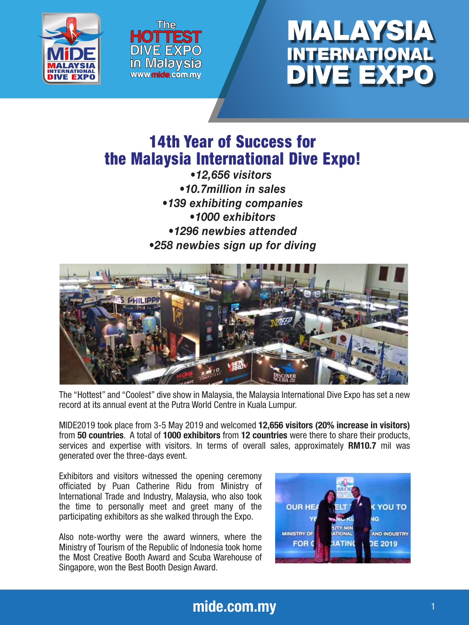





# 14th Year of Success for the Malaysia International Dive Expo!

*•12,656 visitors •10.7million in sales •139 exhibiting companies •1000 exhibitors •1296 newbies attended •258 newbies sign up for diving*



The "Hottest" and "Coolest" dive show in Malaysia, the Malaysia International Dive Expo has set a new record at its annual event at the Putra World Centre in Kuala Lumpur.

MIDE2019 took place from 3-5 May 2019 and welcomed 12,656 visitors (20% increase in visitors) from 50 countries. A total of 1000 exhibitors from 12 countries were there to share their products, services and expertise with visitors. In terms of overall sales, approximately RM10.7 mil was generated over the three-days event.

Exhibitors and visitors witnessed the opening ceremony officiated by Puan Catherine Ridu from Ministry of International Trade and Industry, Malaysia, who also took the time to personally meet and greet many of the participating exhibitors as she walked through the Expo.

Also note-worthy were the award winners, where the Ministry of Tourism of the Republic of Indonesia took home the Most Creative Booth Award and Scuba Warehouse of Singapore, won the Best Booth Design Award.

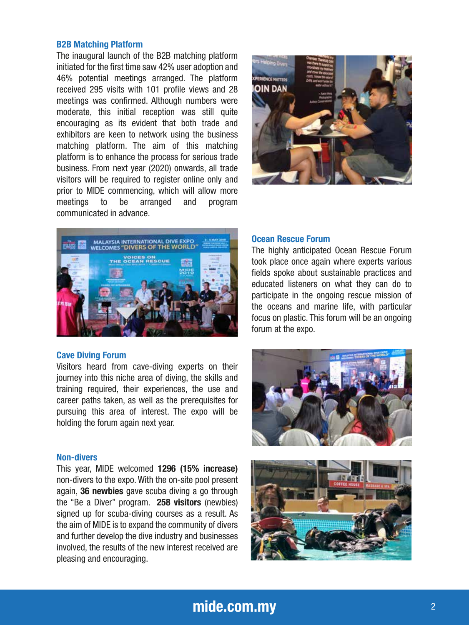# B2B Matching Platform

The inaugural launch of the B2B matching platform initiated for the first time saw 42% user adoption and 46% potential meetings arranged. The platform received 295 visits with 101 profile views and 28 meetings was confirmed. Although numbers were moderate, this initial reception was still quite encouraging as its evident that both trade and exhibitors are keen to network using the business matching platform. The aim of this matching platform is to enhance the process for serious trade business. From next year (2020) onwards, all trade visitors will be required to register online only and prior to MIDE commencing, which will allow more meetings to be arranged and program communicated in advance.





#### Cave Diving Forum

Visitors heard from cave-diving experts on their journey into this niche area of diving, the skills and training required, their experiences, the use and career paths taken, as well as the prerequisites for pursuing this area of interest. The expo will be holding the forum again next year.

# Non-divers

This year, MIDE welcomed 1296 (15% increase) non-divers to the expo. With the on-site pool present again, 36 newbies gave scuba diving a go through the "Be a Diver" program. 258 visitors (newbies) signed up for scuba-diving courses as a result. As the aim of MIDE is to expand the community of divers and further develop the dive industry and businesses involved, the results of the new interest received are pleasing and encouraging.

# Ocean Rescue Forum

The highly anticipated Ocean Rescue Forum took place once again where experts various fields spoke about sustainable practices and educated listeners on what they can do to participate in the ongoing rescue mission of the oceans and marine life, with particular focus on plastic. This forum will be an ongoing forum at the expo.





# mide.com.my 22 and 22 and 22 and 23 and 23 and 23 and 23 and 23 and 23 and 23 and 23 and 23 and 23 and 23 and 23 and 23 and 23 and 23 and 23 and 23 and 23 and 23 and 23 and 23 and 23 and 23 and 23 and 23 and 23 and 23 and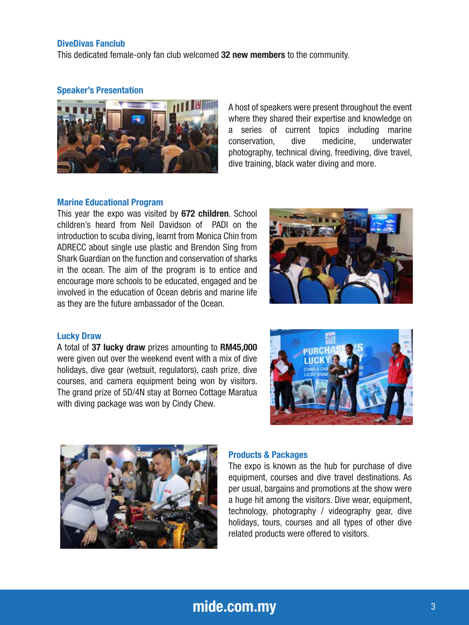# DiveDivas Fanclub

This dedicated female-only fan club welcomed 32 new members to the community.

### Speaker's Presentation



A host of speakers were present throughout the event where they shared their expertise and knowledge on a series of current topics including marine conservation, dive medicine, underwater photography, technical diving, freediving, dive travel, dive training, black water diving and more.

# Marine Educational Program

This year the expo was visited by 672 children. School children's heard from Neil Davidson of PADI on the introduction to scuba diving, learnt from Monica Chin from ADRECC about single use plastic and Brendon Sing from Shark Guardian on the function and conservation of sharks in the ocean. The aim of the program is to entice and encourage more schools to be educated, engaged and be involved in the education of Ocean debris and marine life as they are the future ambassador of the Ocean.



### Lucky Draw

A total of 37 lucky draw prizes amounting to RM45,000 were given out over the weekend event with a mix of dive holidays, dive gear (wetsuit, regulators), cash prize, dive courses, and camera equipment being won by visitors. The grand prize of 5D/4N stay at Borneo Cottage Maratua with diving package was won by Cindy Chew.





#### Products & Packages

The expo is known as the hub for purchase of dive equipment, courses and dive travel destinations. As per usual, bargains and promotions at the show were a huge hit among the visitors. Dive wear, equipment, technology, photography / videography gear, dive holidays, tours, courses and all types of other dive related products were offered to visitors.

# mide.com.my 33 and 33 and 33 and 33 and 34 and 34 and 35 and 35 and 35 and 35 and 35 and 35 and 35 and 35 and 35 and 35 and 35 and 35 and 35 and 35 and 35 and 35 and 35 and 35 and 35 and 35 and 35 and 35 and 35 and 35 and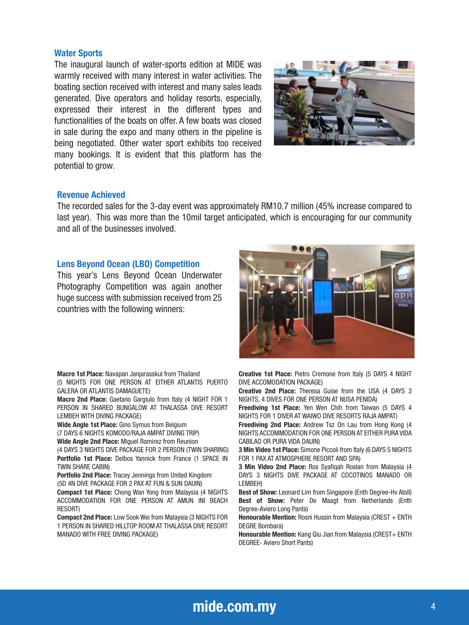## Water Sports

The inaugural launch of water-sports edition at MIDE was warmly received with many interest in water activities. The boating section received with interest and many sales leads generated. Dive operators and holiday resorts, especially, expressed their interest in the different types and functionalities of the boats on offer. A few boats was closed in sale during the expo and many others in the pipeline is being negotiated. Other water sport exhibits too received many bookings. It is evident that this platform has the potential to grow.



# Revenue Achieved

The recorded sales for the 3-day event was approximately RM10.7 million (45% increase compared to last year). This was more than the 10mil target anticipated, which is encouraging for our community and all of the businesses involved.

# Lens Beyond Ocean (LBO) Competition

This year's Lens Beyond Ocean Underwater Photography Competition was again another huge success with submission received from 25 countries with the following winners:

Macro 1st Place: Navapan Janjarasskul from Thailand

(5 NIGHTS FOR ONE PERSON AT EITHER ATLANTIS PUERTO GALERA OR ATLANTIS DAMAGUETE)

Macro 2nd Place: Gaetano Gargiulo from Italy (4 NIGHT FOR 1 PERSON IN SHARED BUNGALOW AT THALASSA DIVE RESORT LEMBEH WITH DIVING PACKAGE)

Wide Angle 1st Place: Gino Symus from Belgium

(7 DAYS 6 NIGHTS KOMODO/RAJA AMPAT DIVING TRIP)

Wide Angle 2nd Place: Miguel Ramirez from Reunion

(4 DAYS 3 NIGHTS DIVE PACKAGE FOR 2 PERSON (TWIN SHARING) Portfolio 1st Place: Delbos Yannick from France (1 SPACE IN TWIN SHARE CABIN)

Portfolio 2nd Place: Tracey Jennings from United Kingdom (5D 4N DIVE PACKAGE FOR 2 PAX AT FUN & SUN DAUIN)

Compact 1st Place: Chong Wan Yong from Malaysia (4 NIGHTS ACCOMMODATION FOR ONE PERSON AT AMUN INI BEACH RESORT)

Compact 2nd Place: Low Sook Wei from Malaysia (3 NIGHTS FOR 1 PERSON IN SHARED HILLTOP ROOM AT THALASSA DIVE RESORT MANADO WITH FREE DIVING PACKAGE)



Creative 1st Place: Pietro Cremone from Italy (5 DAYS 4 NIGHT DIVE ACCOMODATION PACKAGE)

Creative 2nd Place: Theresa Guise from the USA (4 DAYS 3 NIGHTS, 4 DIVES FOR ONE PERSON AT NUSA PENIDA)

Freediving 1st Place: Yen Wen Chih from Taiwan (5 DAYS 4 NIGHTS FOR 1 DIVER AT WAIWO DIVE RESORTS RAJA AMPAT)

Freediving 2nd Place: Andrew Tsz On Lau from Hong Kong (4 NIGHTS ACCOMMODATION FOR ONE PERSON AT EITHER PURA VIDA CABILAO OR PURA VIDA DAUIN)

3 Min Video 1st Place: Simone Piccoli from Italy (6 DAYS 5 NIGHTS FOR 1 PAX AT ATMOSPHERE RESORT AND SPA)

3 Min Video 2nd Place: Ros Syafigah Roslan from Malaysia (4 DAYS 3 NIGHTS DIVE PACKAGE AT COCOTINOS MANADO OR LEMBEH)

Best of Show: Leonard Lim from Singapore (Enth Degree-Hv Atoll) Best of Show: Peter De Maagt from Netherlands (Enth Degree-Aviero Long Pants)

Honourable Mention: Rosni Hussin from Malaysia (CREST + ENTH DEGRE Bombara)

Honourable Mention: Kang Qiu Jian from Malaysia (CREST+ ENTH DEGREE- Aviero Short Pants)

# mide.com.my 44